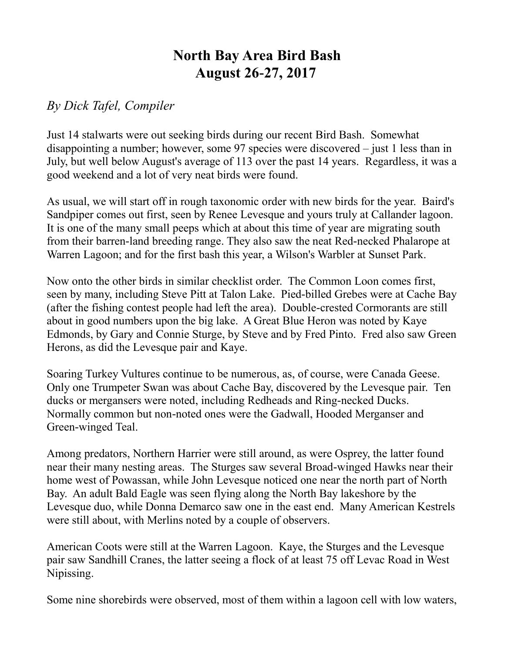## **North Bay Area Bird Bash August 26-27, 2017**

## *By Dick Tafel, Compiler*

Just 14 stalwarts were out seeking birds during our recent Bird Bash. Somewhat disappointing a number; however, some 97 species were discovered – just 1 less than in July, but well below August's average of 113 over the past 14 years. Regardless, it was a good weekend and a lot of very neat birds were found.

As usual, we will start off in rough taxonomic order with new birds for the year. Baird's Sandpiper comes out first, seen by Renee Levesque and yours truly at Callander lagoon. It is one of the many small peeps which at about this time of year are migrating south from their barren-land breeding range. They also saw the neat Red-necked Phalarope at Warren Lagoon; and for the first bash this year, a Wilson's Warbler at Sunset Park.

Now onto the other birds in similar checklist order. The Common Loon comes first, seen by many, including Steve Pitt at Talon Lake. Pied-billed Grebes were at Cache Bay (after the fishing contest people had left the area). Double-crested Cormorants are still about in good numbers upon the big lake. A Great Blue Heron was noted by Kaye Edmonds, by Gary and Connie Sturge, by Steve and by Fred Pinto. Fred also saw Green Herons, as did the Levesque pair and Kaye.

Soaring Turkey Vultures continue to be numerous, as, of course, were Canada Geese. Only one Trumpeter Swan was about Cache Bay, discovered by the Levesque pair. Ten ducks or mergansers were noted, including Redheads and Ring-necked Ducks. Normally common but non-noted ones were the Gadwall, Hooded Merganser and Green-winged Teal.

Among predators, Northern Harrier were still around, as were Osprey, the latter found near their many nesting areas. The Sturges saw several Broad-winged Hawks near their home west of Powassan, while John Levesque noticed one near the north part of North Bay. An adult Bald Eagle was seen flying along the North Bay lakeshore by the Levesque duo, while Donna Demarco saw one in the east end. Many American Kestrels were still about, with Merlins noted by a couple of observers.

American Coots were still at the Warren Lagoon. Kaye, the Sturges and the Levesque pair saw Sandhill Cranes, the latter seeing a flock of at least 75 off Levac Road in West Nipissing.

Some nine shorebirds were observed, most of them within a lagoon cell with low waters,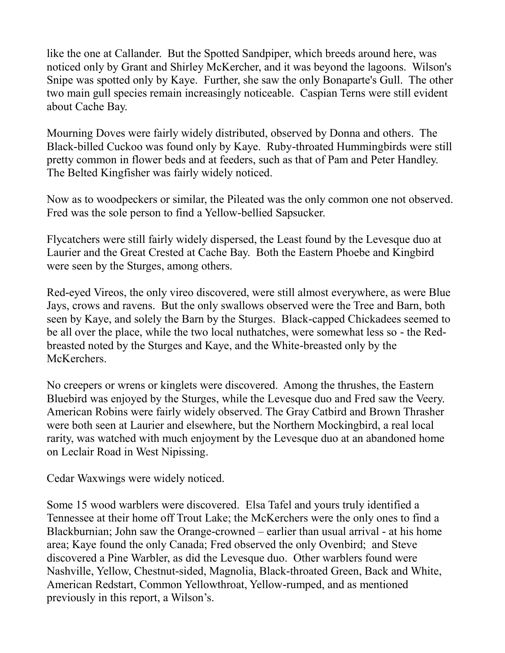like the one at Callander. But the Spotted Sandpiper, which breeds around here, was noticed only by Grant and Shirley McKercher, and it was beyond the lagoons. Wilson's Snipe was spotted only by Kaye. Further, she saw the only Bonaparte's Gull. The other two main gull species remain increasingly noticeable. Caspian Terns were still evident about Cache Bay.

Mourning Doves were fairly widely distributed, observed by Donna and others. The Black-billed Cuckoo was found only by Kaye. Ruby-throated Hummingbirds were still pretty common in flower beds and at feeders, such as that of Pam and Peter Handley. The Belted Kingfisher was fairly widely noticed.

Now as to woodpeckers or similar, the Pileated was the only common one not observed. Fred was the sole person to find a Yellow-bellied Sapsucker.

Flycatchers were still fairly widely dispersed, the Least found by the Levesque duo at Laurier and the Great Crested at Cache Bay. Both the Eastern Phoebe and Kingbird were seen by the Sturges, among others.

Red-eyed Vireos, the only vireo discovered, were still almost everywhere, as were Blue Jays, crows and ravens. But the only swallows observed were the Tree and Barn, both seen by Kaye, and solely the Barn by the Sturges. Black-capped Chickadees seemed to be all over the place, while the two local nuthatches, were somewhat less so - the Redbreasted noted by the Sturges and Kaye, and the White-breasted only by the McKerchers.

No creepers or wrens or kinglets were discovered. Among the thrushes, the Eastern Bluebird was enjoyed by the Sturges, while the Levesque duo and Fred saw the Veery. American Robins were fairly widely observed. The Gray Catbird and Brown Thrasher were both seen at Laurier and elsewhere, but the Northern Mockingbird, a real local rarity, was watched with much enjoyment by the Levesque duo at an abandoned home on Leclair Road in West Nipissing.

Cedar Waxwings were widely noticed.

Some 15 wood warblers were discovered. Elsa Tafel and yours truly identified a Tennessee at their home off Trout Lake; the McKerchers were the only ones to find a Blackburnian; John saw the Orange-crowned – earlier than usual arrival - at his home area; Kaye found the only Canada; Fred observed the only Ovenbird; and Steve discovered a Pine Warbler, as did the Levesque duo. Other warblers found were Nashville, Yellow, Chestnut-sided, Magnolia, Black-throated Green, Back and White, American Redstart, Common Yellowthroat, Yellow-rumped, and as mentioned previously in this report, a Wilson's.